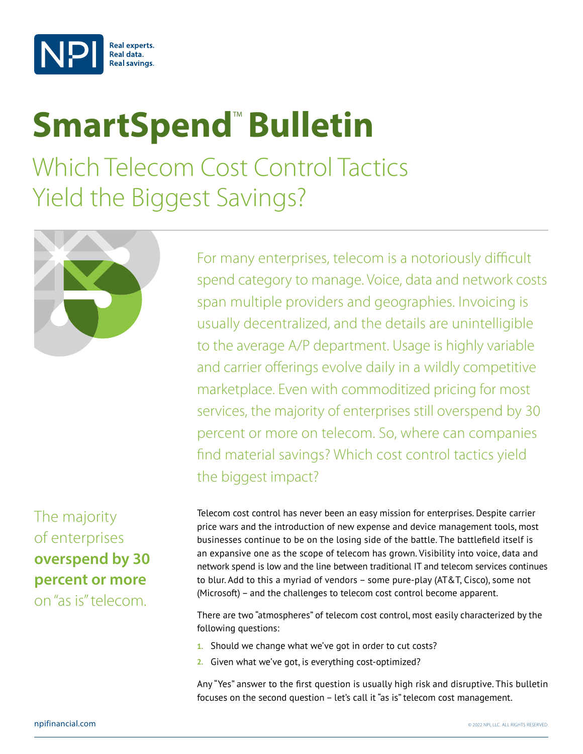

# **SmartSpend<sup>™</sup> Bulletin**

Which Telecom Cost Control Tactics Yield the Biggest Savings?



# The majority of enterprises **overspend by 30 percent or more**  on "as is" telecom.

For many enterprises, telecom is a notoriously difficult spend category to manage. Voice, data and network costs span multiple providers and geographies. Invoicing is usually decentralized, and the details are unintelligible to the average A/P department. Usage is highly variable and carrier offerings evolve daily in a wildly competitive marketplace. Even with commoditized pricing for most services, the majority of enterprises still overspend by 30 percent or more on telecom. So, where can companies find material savings? Which cost control tactics yield the biggest impact?

Telecom cost control has never been an easy mission for enterprises. Despite carrier price wars and the introduction of new expense and device management tools, most businesses continue to be on the losing side of the battle. The battlefield itself is an expansive one as the scope of telecom has grown. Visibility into voice, data and network spend is low and the line between traditional IT and telecom services continues to blur. Add to this a myriad of vendors – some pure-play (AT&T, Cisco), some not (Microsoft) – and the challenges to telecom cost control become apparent.

There are two "atmospheres" of telecom cost control, most easily characterized by the following questions:

- **1.** Should we change what we've got in order to cut costs?
- **2.** Given what we've got, is everything cost-optimized?

Any "Yes" answer to the first question is usually high risk and disruptive. This bulletin focuses on the second question – let's call it "as is" telecom cost management.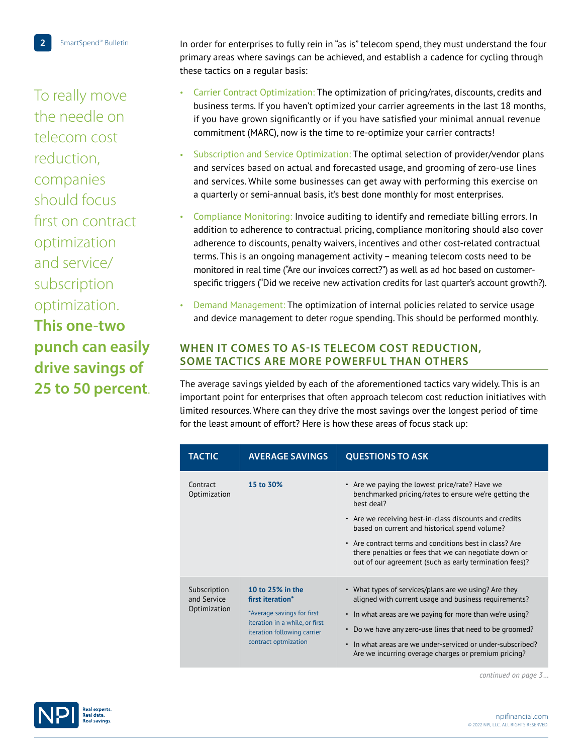To really move the needle on telecom cost reduction, companies should focus first on contract optimization and service/ subscription optimization. **This one-two punch can easily drive savings of 25 to 50 percent**.

In order for enterprises to fully rein in "as is" telecom spend, they must understand the four primary areas where savings can be achieved, and establish a cadence for cycling through these tactics on a regular basis:

- Carrier Contract Optimization: The optimization of pricing/rates, discounts, credits and business terms. If you haven't optimized your carrier agreements in the last 18 months, if you have grown significantly or if you have satisfied your minimal annual revenue commitment (MARC), now is the time to re-optimize your carrier contracts!
- Subscription and Service Optimization: The optimal selection of provider/vendor plans and services based on actual and forecasted usage, and grooming of zero-use lines and services. While some businesses can get away with performing this exercise on a quarterly or semi-annual basis, it's best done monthly for most enterprises.
- Compliance Monitoring: Invoice auditing to identify and remediate billing errors. In addition to adherence to contractual pricing, compliance monitoring should also cover adherence to discounts, penalty waivers, incentives and other cost-related contractual terms. This is an ongoing management activity – meaning telecom costs need to be monitored in real time ("Are our invoices correct?") as well as ad hoc based on customerspecific triggers ("Did we receive new activation credits for last quarter's account growth?).
- Demand Management: The optimization of internal policies related to service usage and device management to deter rogue spending. This should be performed monthly.

# **WHEN IT COMES TO AS-IS TELECOM COST REDUCTION, SOME TACTICS ARE MORE POWERFUL THAN OTHERS**

The average savings yielded by each of the aforementioned tactics vary widely. This is an important point for enterprises that often approach telecom cost reduction initiatives with limited resources. Where can they drive the most savings over the longest period of time for the least amount of effort? Here is how these areas of focus stack up:

| <b>TACTIC</b>                               | <b>AVERAGE SAVINGS</b>                                                                                                                                      | <b>QUESTIONS TO ASK</b>                                                                                                                                                                                                                                                                                                                                                                                       |
|---------------------------------------------|-------------------------------------------------------------------------------------------------------------------------------------------------------------|---------------------------------------------------------------------------------------------------------------------------------------------------------------------------------------------------------------------------------------------------------------------------------------------------------------------------------------------------------------------------------------------------------------|
| Contract<br>Optimization                    | 15 to 30%                                                                                                                                                   | • Are we paying the lowest price/rate? Have we<br>benchmarked pricing/rates to ensure we're getting the<br>best deal?<br>• Are we receiving best-in-class discounts and credits<br>based on current and historical spend volume?<br>• Are contract terms and conditions best in class? Are<br>there penalties or fees that we can negotiate down or<br>out of our agreement (such as early termination fees)? |
| Subscription<br>and Service<br>Optimization | 10 to 25% in the<br>first iteration*<br>*Average savings for first<br>iteration in a while, or first<br>iteration following carrier<br>contract optmization | • What types of services/plans are we using? Are they<br>aligned with current usage and business requirements?<br>In what areas are we paying for more than we're using?<br>Do we have any zero-use lines that need to be groomed?<br>In what areas are we under-serviced or under-subscribed?<br>Are we incurring overage charges or premium pricing?                                                        |

*continued on page 3…*